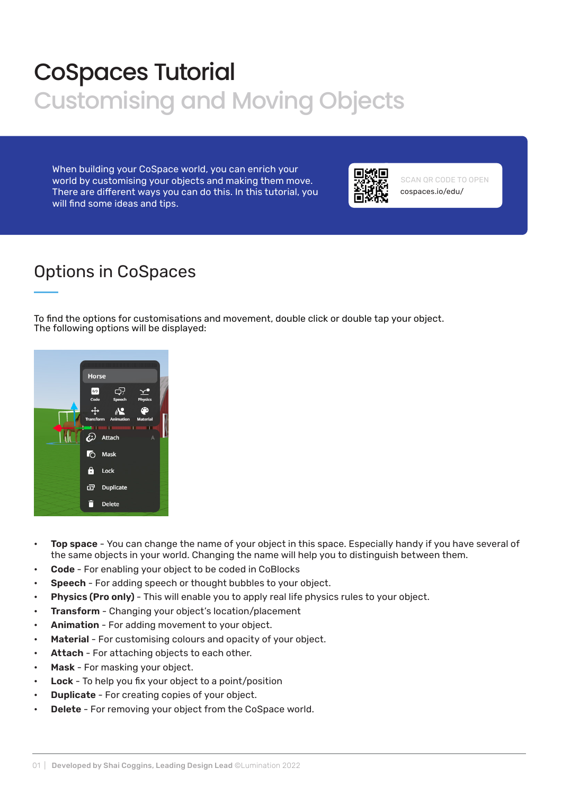## CoSpaces Tutorial Customising and Moving Objects

When building your CoSpace world, you can enrich your world by customising your objects and making them move. There are different ways you can do this. In this tutorial, you will find some ideas and tips.



cospaces.io/edu/ SCAN QR CODE TO OPEN

#### Options in CoSpaces

To find the options for customisations and movement, double click or double tap your object. The following options will be displayed:



- Top space You can change the name of your object in this space. Especially handy if you have several of the same objects in your world. Changing the name will help you to distinguish between them.
- **Code** For enabling your object to be coded in CoBlocks
- Speech For adding speech or thought bubbles to your object.
- Physics (Pro only) This will enable you to apply real life physics rules to your object.
- Transform Changing your object's location/placement
- Animation For adding movement to your object.
- Material For customising colours and opacity of your object.
- Attach For attaching objects to each other.
- Mask For masking your object.
- **Lock** To help you fix your object to a point/position
- **Duplicate** For creating copies of your object.
- Delete For removing your object from the CoSpace world.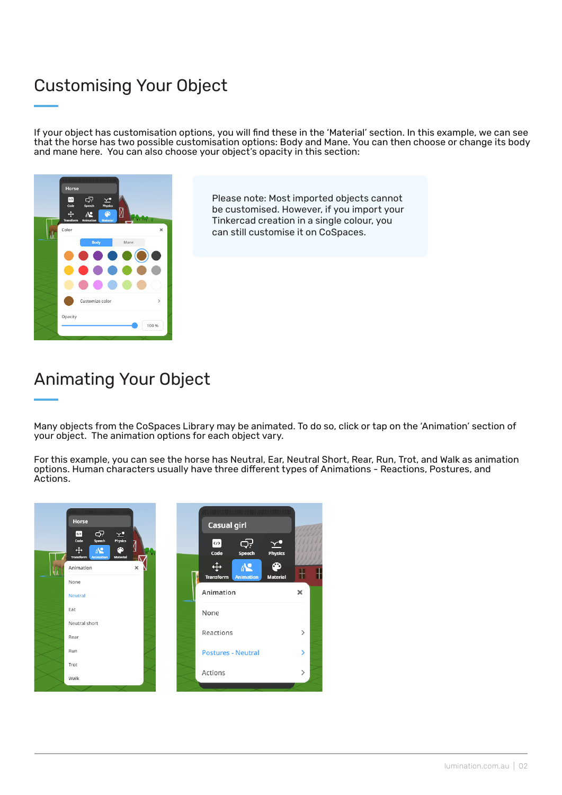#### Customising Your Object

If your object has customisation options, you will find these in the 'Material' section. In this example, we can see that the horse has two possible customisation options: Body and Mane. You can then choose or change its body and mane here. You can also choose your object's opacity in this section:



Please note: Most imported objects cannot be customised. However, if you import your Tinkercad creation in a single colour, you can still customise it on CoSpaces.

### Animating Your Object

Many objects from the CoSpaces Library may be animated. To do so, click or tap on the 'Animation' section of your object. The animation options for each object vary.

For this example, you can see the horse has Neutral, Ear, Neutral Short, Rear, Run, Trot, and Walk as animation options. Human characters usually have three different types of Animations - Reactions, Postures, and Actions.

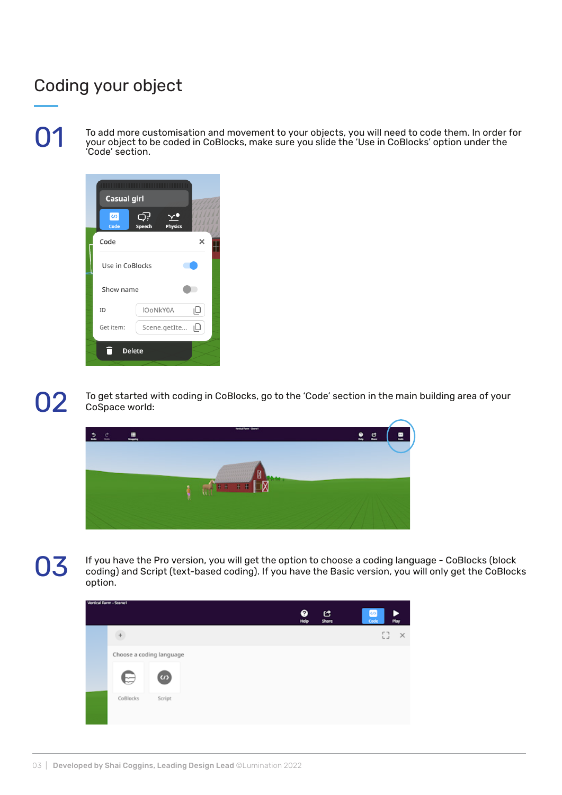#### Coding your object

01

To add more customisation and movement to your objects, you will need to code them. In order for your object to be coded in CoBlocks, make sure you slide the 'Use in CoBlocks' option under the 'Code' section.



02

To get started with coding in CoBlocks, go to the 'Code' section in the main building area of your CoSpace world:



# 03

If you have the Pro version, you will get the option to choose a coding language - CoBlocks (block coding) and Script (text-based coding). If you have the Basic version, you will only get the CoBlocks option.